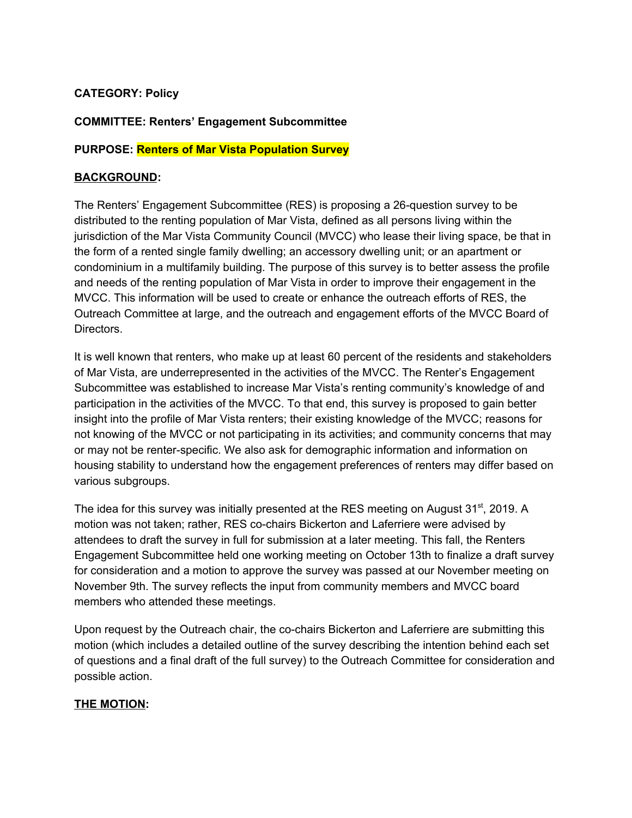# **CATEGORY: Policy**

# **COMMITTEE: Renters' Engagement Subcommittee**

## **PURPOSE: Renters of Mar Vista Population Survey**

## **BACKGROUND:**

The Renters' Engagement Subcommittee (RES) is proposing a 26-question survey to be distributed to the renting population of Mar Vista, defined as all persons living within the jurisdiction of the Mar Vista Community Council (MVCC) who lease their living space, be that in the form of a rented single family dwelling; an accessory dwelling unit; or an apartment or condominium in a multifamily building. The purpose of this survey is to better assess the profile and needs of the renting population of Mar Vista in order to improve their engagement in the MVCC. This information will be used to create or enhance the outreach efforts of RES, the Outreach Committee at large, and the outreach and engagement efforts of the MVCC Board of Directors.

It is well known that renters, who make up at least 60 percent of the residents and stakeholders of Mar Vista, are underrepresented in the activities of the MVCC. The Renter's Engagement Subcommittee was established to increase Mar Vista's renting community's knowledge of and participation in the activities of the MVCC. To that end, this survey is proposed to gain better insight into the profile of Mar Vista renters; their existing knowledge of the MVCC; reasons for not knowing of the MVCC or not participating in its activities; and community concerns that may or may not be renter-specific. We also ask for demographic information and information on housing stability to understand how the engagement preferences of renters may differ based on various subgroups.

The idea for this survey was initially presented at the RES meeting on August 31<sup>st</sup>, 2019. A motion was not taken; rather, RES co-chairs Bickerton and Laferriere were advised by attendees to draft the survey in full for submission at a later meeting. This fall, the Renters Engagement Subcommittee held one working meeting on October 13th to finalize a draft survey for consideration and a motion to approve the survey was passed at our November meeting on November 9th. The survey reflects the input from community members and MVCC board members who attended these meetings.

Upon request by the Outreach chair, the co-chairs Bickerton and Laferriere are submitting this motion (which includes a detailed outline of the survey describing the intention behind each set of questions and a final draft of the full survey) to the Outreach Committee for consideration and possible action.

## **THE MOTION:**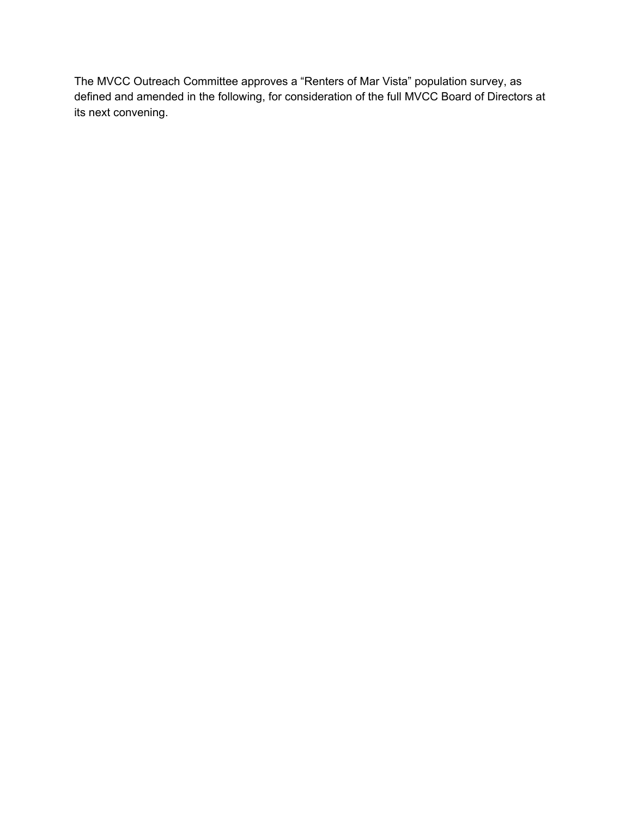The MVCC Outreach Committee approves a "Renters of Mar Vista" population survey, as defined and amended in the following, for consideration of the full MVCC Board of Directors at its next convening.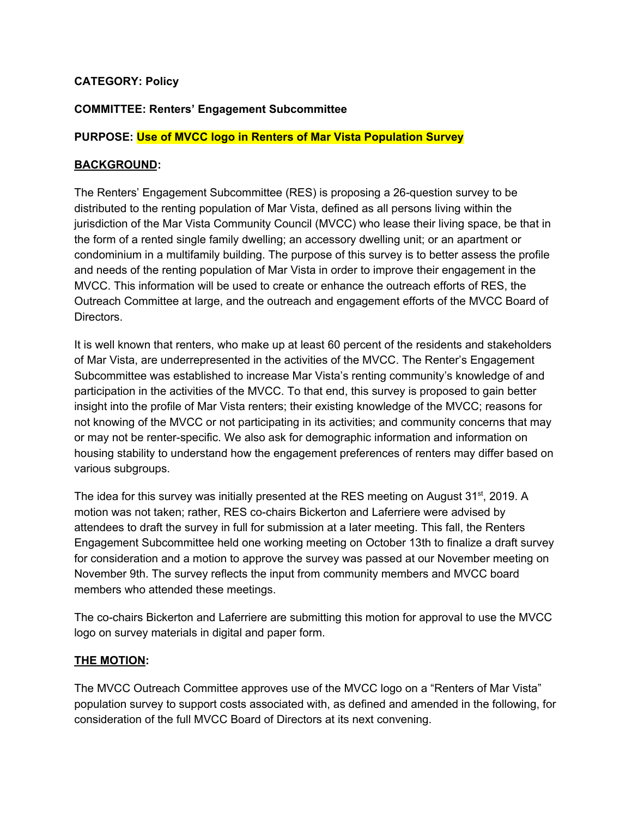# **CATEGORY: Policy**

# **COMMITTEE: Renters' Engagement Subcommittee**

## **PURPOSE: Use of MVCC logo in Renters of Mar Vista Population Survey**

#### **BACKGROUND:**

The Renters' Engagement Subcommittee (RES) is proposing a 26-question survey to be distributed to the renting population of Mar Vista, defined as all persons living within the jurisdiction of the Mar Vista Community Council (MVCC) who lease their living space, be that in the form of a rented single family dwelling; an accessory dwelling unit; or an apartment or condominium in a multifamily building. The purpose of this survey is to better assess the profile and needs of the renting population of Mar Vista in order to improve their engagement in the MVCC. This information will be used to create or enhance the outreach efforts of RES, the Outreach Committee at large, and the outreach and engagement efforts of the MVCC Board of Directors.

It is well known that renters, who make up at least 60 percent of the residents and stakeholders of Mar Vista, are underrepresented in the activities of the MVCC. The Renter's Engagement Subcommittee was established to increase Mar Vista's renting community's knowledge of and participation in the activities of the MVCC. To that end, this survey is proposed to gain better insight into the profile of Mar Vista renters; their existing knowledge of the MVCC; reasons for not knowing of the MVCC or not participating in its activities; and community concerns that may or may not be renter-specific. We also ask for demographic information and information on housing stability to understand how the engagement preferences of renters may differ based on various subgroups.

The idea for this survey was initially presented at the RES meeting on August 31<sup>st</sup>, 2019. A motion was not taken; rather, RES co-chairs Bickerton and Laferriere were advised by attendees to draft the survey in full for submission at a later meeting. This fall, the Renters Engagement Subcommittee held one working meeting on October 13th to finalize a draft survey for consideration and a motion to approve the survey was passed at our November meeting on November 9th. The survey reflects the input from community members and MVCC board members who attended these meetings.

The co-chairs Bickerton and Laferriere are submitting this motion for approval to use the MVCC logo on survey materials in digital and paper form.

## **THE MOTION:**

The MVCC Outreach Committee approves use of the MVCC logo on a "Renters of Mar Vista" population survey to support costs associated with, as defined and amended in the following, for consideration of the full MVCC Board of Directors at its next convening.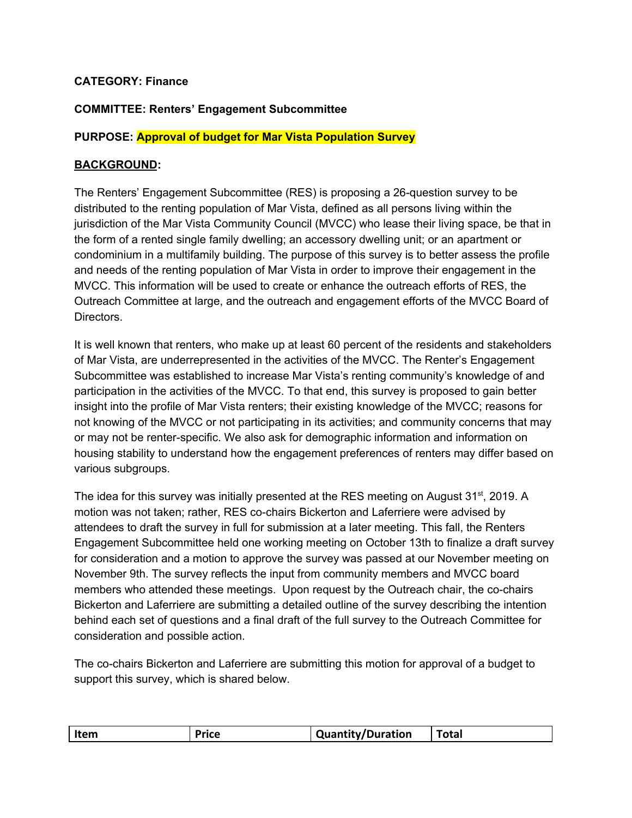# **CATEGORY: Finance**

# **COMMITTEE: Renters' Engagement Subcommittee**

## **PURPOSE: Approval of budget for Mar Vista Population Survey**

# **BACKGROUND:**

The Renters' Engagement Subcommittee (RES) is proposing a 26-question survey to be distributed to the renting population of Mar Vista, defined as all persons living within the jurisdiction of the Mar Vista Community Council (MVCC) who lease their living space, be that in the form of a rented single family dwelling; an accessory dwelling unit; or an apartment or condominium in a multifamily building. The purpose of this survey is to better assess the profile and needs of the renting population of Mar Vista in order to improve their engagement in the MVCC. This information will be used to create or enhance the outreach efforts of RES, the Outreach Committee at large, and the outreach and engagement efforts of the MVCC Board of Directors.

It is well known that renters, who make up at least 60 percent of the residents and stakeholders of Mar Vista, are underrepresented in the activities of the MVCC. The Renter's Engagement Subcommittee was established to increase Mar Vista's renting community's knowledge of and participation in the activities of the MVCC. To that end, this survey is proposed to gain better insight into the profile of Mar Vista renters; their existing knowledge of the MVCC; reasons for not knowing of the MVCC or not participating in its activities; and community concerns that may or may not be renter-specific. We also ask for demographic information and information on housing stability to understand how the engagement preferences of renters may differ based on various subgroups.

The idea for this survey was initially presented at the RES meeting on August 31<sup>st</sup>, 2019. A motion was not taken; rather, RES co-chairs Bickerton and Laferriere were advised by attendees to draft the survey in full for submission at a later meeting. This fall, the Renters Engagement Subcommittee held one working meeting on October 13th to finalize a draft survey for consideration and a motion to approve the survey was passed at our November meeting on November 9th. The survey reflects the input from community members and MVCC board members who attended these meetings. Upon request by the Outreach chair, the co-chairs Bickerton and Laferriere are submitting a detailed outline of the survey describing the intention behind each set of questions and a final draft of the full survey to the Outreach Committee for consideration and possible action.

The co-chairs Bickerton and Laferriere are submitting this motion for approval of a budget to support this survey, which is shared below.

| Item<br>Price | <b>Quantity/Duration</b> | <b>Total</b> |
|---------------|--------------------------|--------------|
|---------------|--------------------------|--------------|